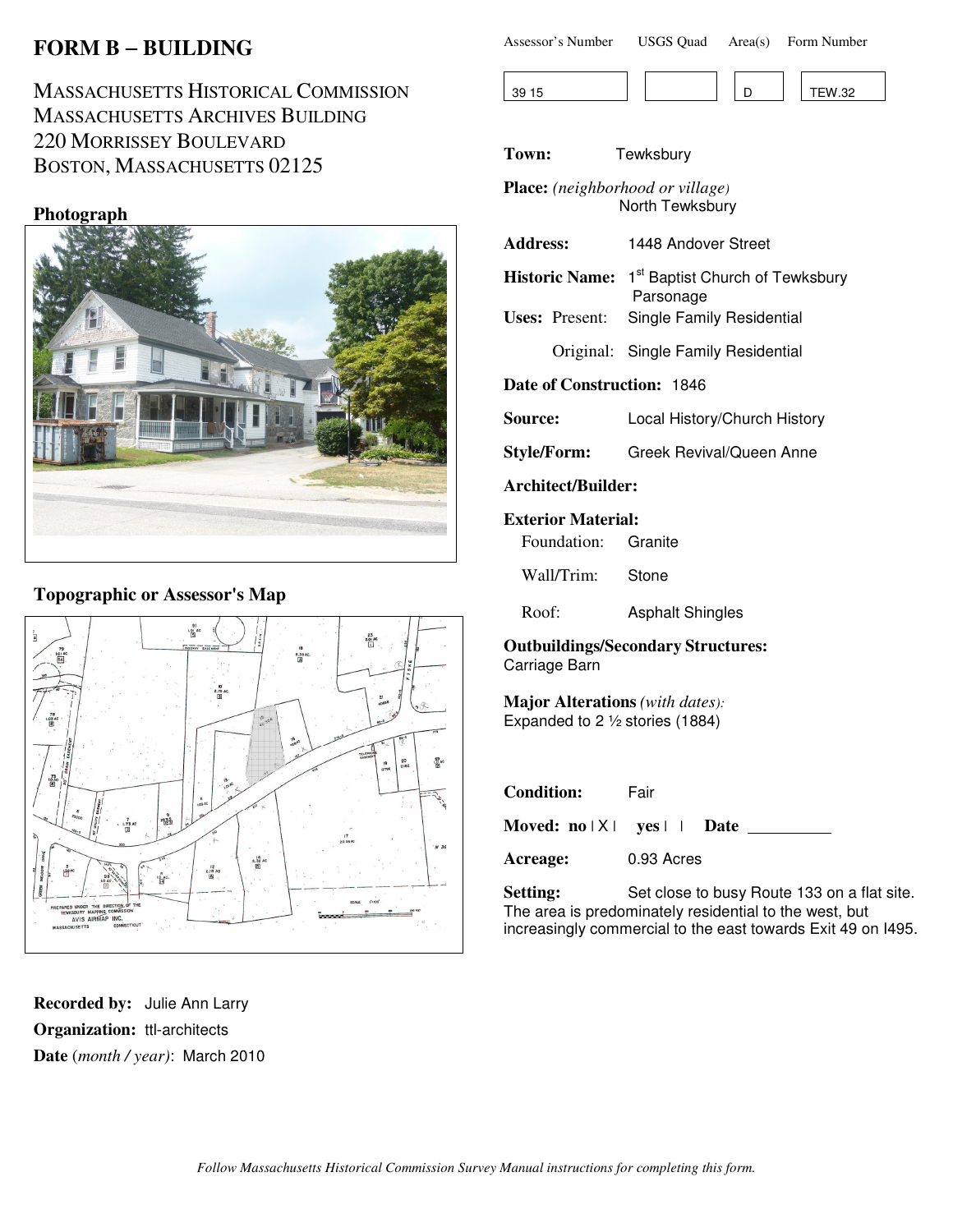# **FORM B** − **BUILDING**

MASSACHUSETTS HISTORICAL COMMISSION MASSACHUSETTS ARCHIVES BUILDING 220 MORRISSEY BOULEVARD BOSTON, MASSACHUSETTS 02125

## **Photograph**



## **Topographic or Assessor's Map**



**Recorded by:** Julie Ann Larry **Organization:** ttl-architects **Date** (*month / year)*: March 2010

| Assessor's Number | <b>USGS Quad</b> | Area(s) Form Number |
|-------------------|------------------|---------------------|
|                   |                  |                     |



**Town:** Tewksbury

**Place:** *(neighborhood or village)* North Tewksbury

| <b>Address:</b> | 1448 Andover Street                                                     |
|-----------------|-------------------------------------------------------------------------|
|                 | Historic Name: 1 <sup>st</sup> Baptist Church of Tewksbury<br>Parsonage |
|                 | Uses: Present: Single Family Residential                                |

Original: Single Family Residential

**Date of Construction:** 1846

**Source:** Local History/Church History

**Style/Form:** Greek Revival/Queen Anne

**Architect/Builder:**

#### **Exterior Material:**

Wall/Trim: Stone

Roof: Asphalt Shingles

**Outbuildings/Secondary Structures:** Carriage Barn

**Major Alterations** *(with dates):* Expanded to 2 ½ stories (1884)

| <b>Condition:</b>                                     | Fair       |
|-------------------------------------------------------|------------|
| Moved: $no \mid X \mid \text{yes} \mid \text{.}$ Date |            |
| Acreage:                                              | 0.93 Acres |

Setting: Set close to busy Route 133 on a flat site. The area is predominately residential to the west, but increasingly commercial to the east towards Exit 49 on I495.